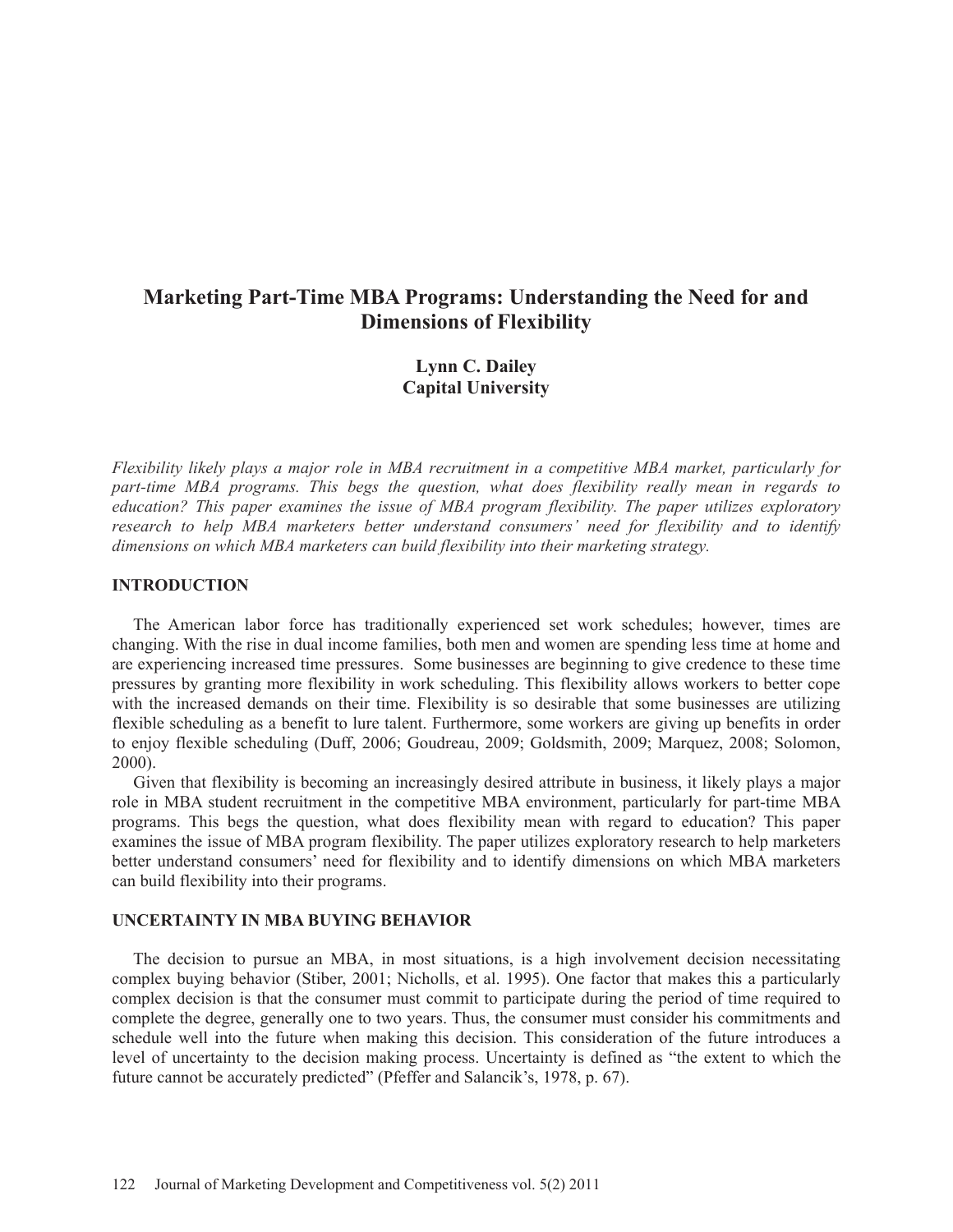# **Marketing Part-Time MBA Programs: Understanding the Need for and Dimensions of Flexibility**

# **Lynn C. Dailey Capital University**

*Flexibility likely plays a major role in MBA recruitment in a competitive MBA market, particularly for part-time MBA programs. This begs the question, what does flexibility really mean in regards to education? This paper examines the issue of MBA program flexibility. The paper utilizes exploratory research to help MBA marketers better understand consumers' need for flexibility and to identify dimensions on which MBA marketers can build flexibility into their marketing strategy.* 

### **INTRODUCTION**

 The American labor force has traditionally experienced set work schedules; however, times are changing. With the rise in dual income families, both men and women are spending less time at home and are experiencing increased time pressures. Some businesses are beginning to give credence to these time pressures by granting more flexibility in work scheduling. This flexibility allows workers to better cope with the increased demands on their time. Flexibility is so desirable that some businesses are utilizing flexible scheduling as a benefit to lure talent. Furthermore, some workers are giving up benefits in order to enjoy flexible scheduling (Duff, 2006; Goudreau, 2009; Goldsmith, 2009; Marquez, 2008; Solomon, 2000).

 Given that flexibility is becoming an increasingly desired attribute in business, it likely plays a major role in MBA student recruitment in the competitive MBA environment, particularly for part-time MBA programs. This begs the question, what does flexibility mean with regard to education? This paper examines the issue of MBA program flexibility. The paper utilizes exploratory research to help marketers better understand consumers' need for flexibility and to identify dimensions on which MBA marketers can build flexibility into their programs.

### **UNCERTAINTY IN MBA BUYING BEHAVIOR**

 The decision to pursue an MBA, in most situations, is a high involvement decision necessitating complex buying behavior (Stiber, 2001; Nicholls, et al. 1995). One factor that makes this a particularly complex decision is that the consumer must commit to participate during the period of time required to complete the degree, generally one to two years. Thus, the consumer must consider his commitments and schedule well into the future when making this decision. This consideration of the future introduces a level of uncertainty to the decision making process. Uncertainty is defined as "the extent to which the future cannot be accurately predicted" (Pfeffer and Salancik's, 1978, p. 67).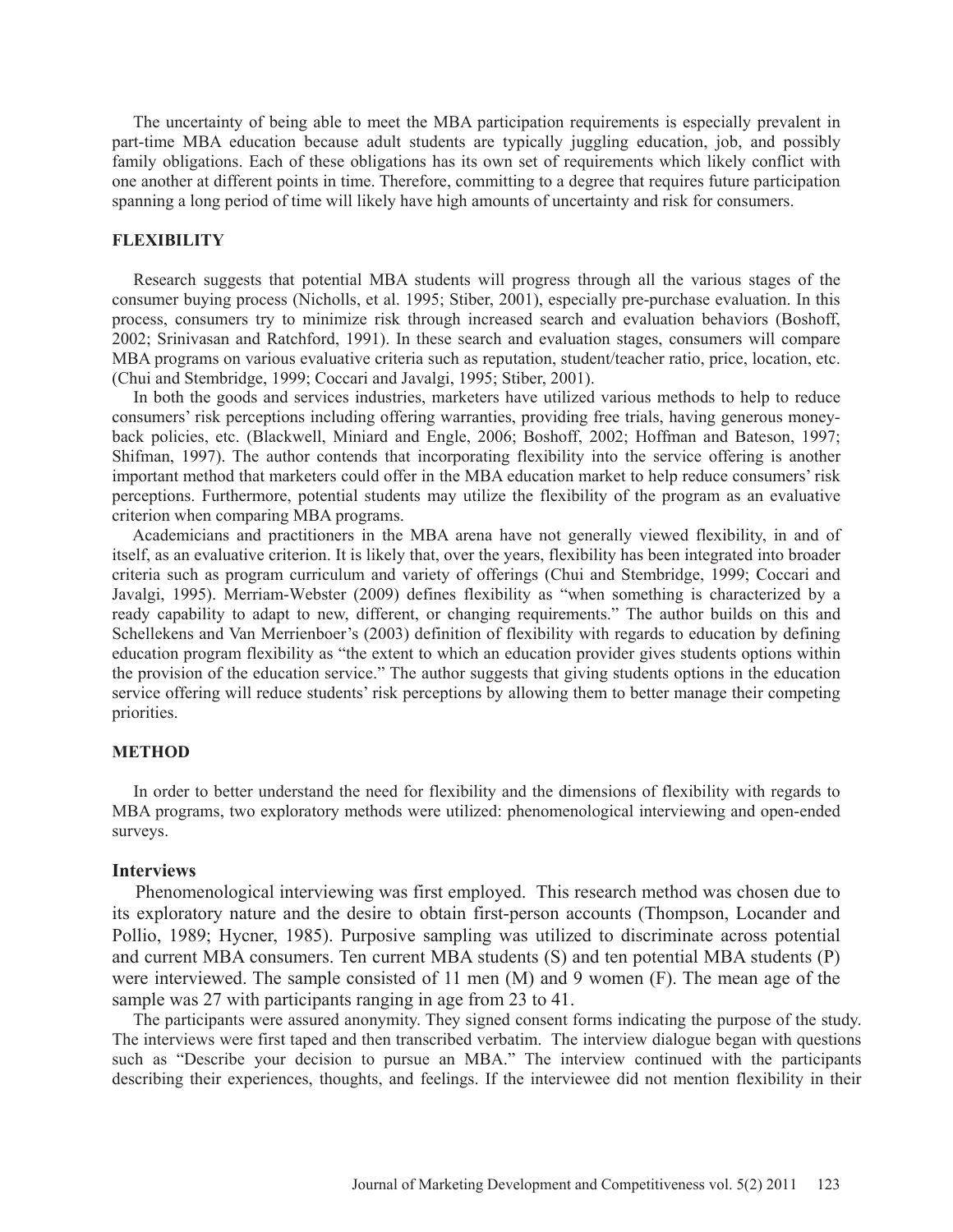The uncertainty of being able to meet the MBA participation requirements is especially prevalent in part-time MBA education because adult students are typically juggling education, job, and possibly family obligations. Each of these obligations has its own set of requirements which likely conflict with one another at different points in time. Therefore, committing to a degree that requires future participation spanning a long period of time will likely have high amounts of uncertainty and risk for consumers.

### **FLEXIBILITY**

 Research suggests that potential MBA students will progress through all the various stages of the consumer buying process (Nicholls, et al. 1995; Stiber, 2001), especially pre-purchase evaluation. In this process, consumers try to minimize risk through increased search and evaluation behaviors (Boshoff, 2002; Srinivasan and Ratchford, 1991). In these search and evaluation stages, consumers will compare MBA programs on various evaluative criteria such as reputation, student/teacher ratio, price, location, etc. (Chui and Stembridge, 1999; Coccari and Javalgi, 1995; Stiber, 2001).

 In both the goods and services industries, marketers have utilized various methods to help to reduce consumers' risk perceptions including offering warranties, providing free trials, having generous moneyback policies, etc. (Blackwell, Miniard and Engle, 2006; Boshoff, 2002; Hoffman and Bateson, 1997; Shifman, 1997). The author contends that incorporating flexibility into the service offering is another important method that marketers could offer in the MBA education market to help reduce consumers' risk perceptions. Furthermore, potential students may utilize the flexibility of the program as an evaluative criterion when comparing MBA programs.

 Academicians and practitioners in the MBA arena have not generally viewed flexibility, in and of itself, as an evaluative criterion. It is likely that, over the years, flexibility has been integrated into broader criteria such as program curriculum and variety of offerings (Chui and Stembridge, 1999; Coccari and Javalgi, 1995). Merriam-Webster (2009) defines flexibility as "when something is characterized by a ready capability to adapt to new, different, or changing requirements." The author builds on this and Schellekens and Van Merrienboer's (2003) definition of flexibility with regards to education by defining education program flexibility as "the extent to which an education provider gives students options within the provision of the education service." The author suggests that giving students options in the education service offering will reduce students' risk perceptions by allowing them to better manage their competing priorities.

#### **METHOD**

 In order to better understand the need for flexibility and the dimensions of flexibility with regards to MBA programs, two exploratory methods were utilized: phenomenological interviewing and open-ended surveys.

### **Interviews**

 Phenomenological interviewing was first employed. This research method was chosen due to its exploratory nature and the desire to obtain first-person accounts (Thompson, Locander and Pollio, 1989; Hycner, 1985). Purposive sampling was utilized to discriminate across potential and current MBA consumers. Ten current MBA students (S) and ten potential MBA students (P) were interviewed. The sample consisted of 11 men (M) and 9 women (F). The mean age of the sample was 27 with participants ranging in age from 23 to 41.

 The participants were assured anonymity. They signed consent forms indicating the purpose of the study. The interviews were first taped and then transcribed verbatim. The interview dialogue began with questions such as "Describe your decision to pursue an MBA." The interview continued with the participants describing their experiences, thoughts, and feelings. If the interviewee did not mention flexibility in their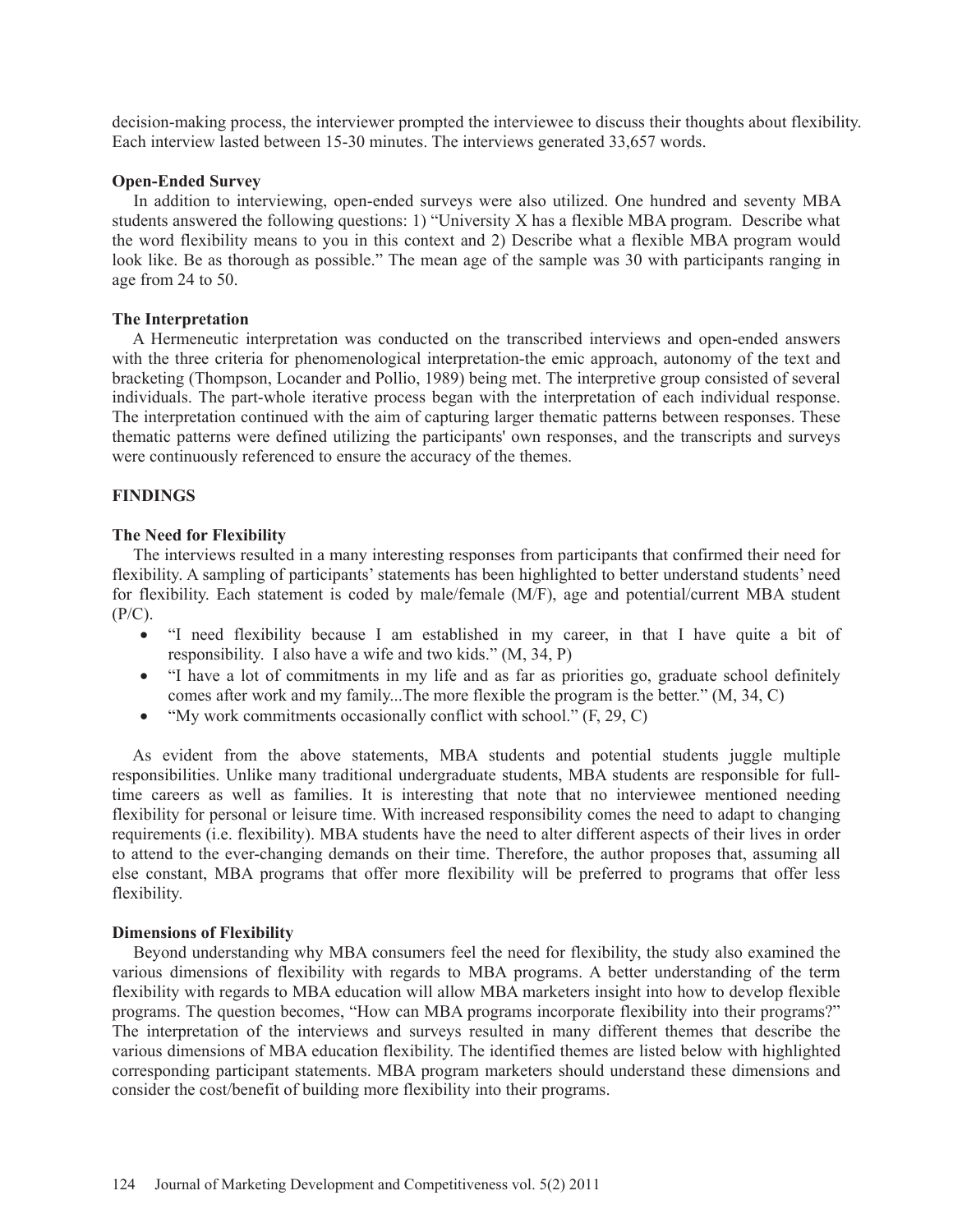decision-making process, the interviewer prompted the interviewee to discuss their thoughts about flexibility. Each interview lasted between 15-30 minutes. The interviews generated 33,657 words.

### **Open-Ended Survey**

 In addition to interviewing, open-ended surveys were also utilized. One hundred and seventy MBA students answered the following questions: 1) "University X has a flexible MBA program. Describe what the word flexibility means to you in this context and 2) Describe what a flexible MBA program would look like. Be as thorough as possible." The mean age of the sample was 30 with participants ranging in age from 24 to 50.

### **The Interpretation**

 A Hermeneutic interpretation was conducted on the transcribed interviews and open-ended answers with the three criteria for phenomenological interpretation-the emic approach, autonomy of the text and bracketing (Thompson, Locander and Pollio, 1989) being met. The interpretive group consisted of several individuals. The part-whole iterative process began with the interpretation of each individual response. The interpretation continued with the aim of capturing larger thematic patterns between responses. These thematic patterns were defined utilizing the participants' own responses, and the transcripts and surveys were continuously referenced to ensure the accuracy of the themes.

### **FINDINGS**

#### **The Need for Flexibility**

 The interviews resulted in a many interesting responses from participants that confirmed their need for flexibility. A sampling of participants' statements has been highlighted to better understand students' need for flexibility. Each statement is coded by male/female (M/F), age and potential/current MBA student  $(P/C)$ .

- "I need flexibility because I am established in my career, in that I have quite a bit of responsibility. I also have a wife and two kids." (M, 34, P)
- "I have a lot of commitments in my life and as far as priorities go, graduate school definitely comes after work and my family...The more flexible the program is the better." (M, 34, C)
- "My work commitments occasionally conflict with school."  $(F, 29, C)$

 As evident from the above statements, MBA students and potential students juggle multiple responsibilities. Unlike many traditional undergraduate students, MBA students are responsible for fulltime careers as well as families. It is interesting that note that no interviewee mentioned needing flexibility for personal or leisure time. With increased responsibility comes the need to adapt to changing requirements (i.e. flexibility). MBA students have the need to alter different aspects of their lives in order to attend to the ever-changing demands on their time. Therefore, the author proposes that, assuming all else constant, MBA programs that offer more flexibility will be preferred to programs that offer less flexibility.

#### **Dimensions of Flexibility**

 Beyond understanding why MBA consumers feel the need for flexibility, the study also examined the various dimensions of flexibility with regards to MBA programs. A better understanding of the term flexibility with regards to MBA education will allow MBA marketers insight into how to develop flexible programs. The question becomes, "How can MBA programs incorporate flexibility into their programs?" The interpretation of the interviews and surveys resulted in many different themes that describe the various dimensions of MBA education flexibility. The identified themes are listed below with highlighted corresponding participant statements. MBA program marketers should understand these dimensions and consider the cost/benefit of building more flexibility into their programs.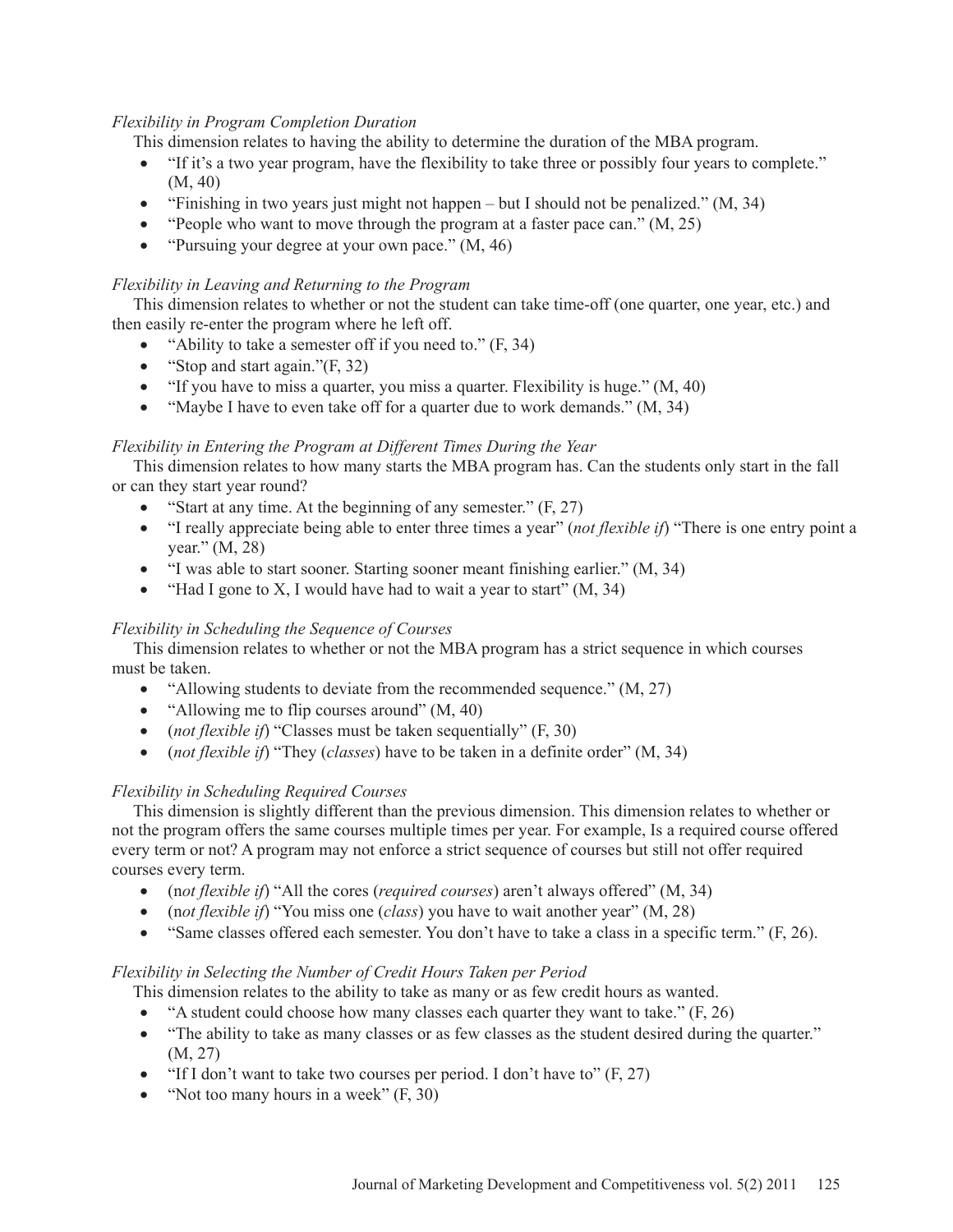# *Flexibility in Program Completion Duration*

This dimension relates to having the ability to determine the duration of the MBA program.

- "If it's a two year program, have the flexibility to take three or possibly four years to complete." (M, 40)
- "Finishing in two years just might not happen but I should not be penalized."  $(M, 34)$
- "People who want to move through the program at a faster pace can."  $(M, 25)$
- "Pursuing your degree at your own pace."  $(M, 46)$

# *Flexibility in Leaving and Returning to the Program*

 This dimension relates to whether or not the student can take time-off (one quarter, one year, etc.) and then easily re-enter the program where he left off.

- "Ability to take a semester off if you need to."  $(F, 34)$
- "Stop and start again." $(F, 32)$
- $\bullet$  "If you have to miss a quarter, you miss a quarter. Flexibility is huge." (M, 40)
- "Maybe I have to even take off for a quarter due to work demands."  $(M, 34)$

# *Flexibility in Entering the Program at Different Times During the Year*

 This dimension relates to how many starts the MBA program has. Can the students only start in the fall or can they start year round?

- "Start at any time. At the beginning of any semester."  $(F, 27)$
- x "I really appreciate being able to enter three times a year" (*not flexible if*) "There is one entry point a year." (M, 28)
- "I was able to start sooner. Starting sooner meant finishing earlier." (M, 34)
- "Had I gone to X, I would have had to wait a year to start"  $(M, 34)$

# *Flexibility in Scheduling the Sequence of Courses*

 This dimension relates to whether or not the MBA program has a strict sequence in which courses must be taken.

- "Allowing students to deviate from the recommended sequence."  $(M, 27)$
- "Allowing me to flip courses around"  $(M, 40)$
- (*not flexible if*) "Classes must be taken sequentially" (F, 30)
- x (*not flexible if*) "They (*classes*) have to be taken in a definite order" (M, 34)

# *Flexibility in Scheduling Required Courses*

 This dimension is slightly different than the previous dimension. This dimension relates to whether or not the program offers the same courses multiple times per year. For example, Is a required course offered every term or not? A program may not enforce a strict sequence of courses but still not offer required courses every term.

- (not flexible if) "All the cores (*required courses*) aren't always offered" (M, 34)
- (n*ot flexible if*) "You miss one (*class*) you have to wait another year" (M, 28)
- "Same classes offered each semester. You don't have to take a class in a specific term."  $(F, 26)$ .

# *Flexibility in Selecting the Number of Credit Hours Taken per Period*

This dimension relates to the ability to take as many or as few credit hours as wanted.

- "A student could choose how many classes each quarter they want to take."  $(F, 26)$
- "The ability to take as many classes or as few classes as the student desired during the quarter." (M, 27)
- "If I don't want to take two courses per period. I don't have to"  $(F, 27)$
- "Not too many hours in a week"  $(F, 30)$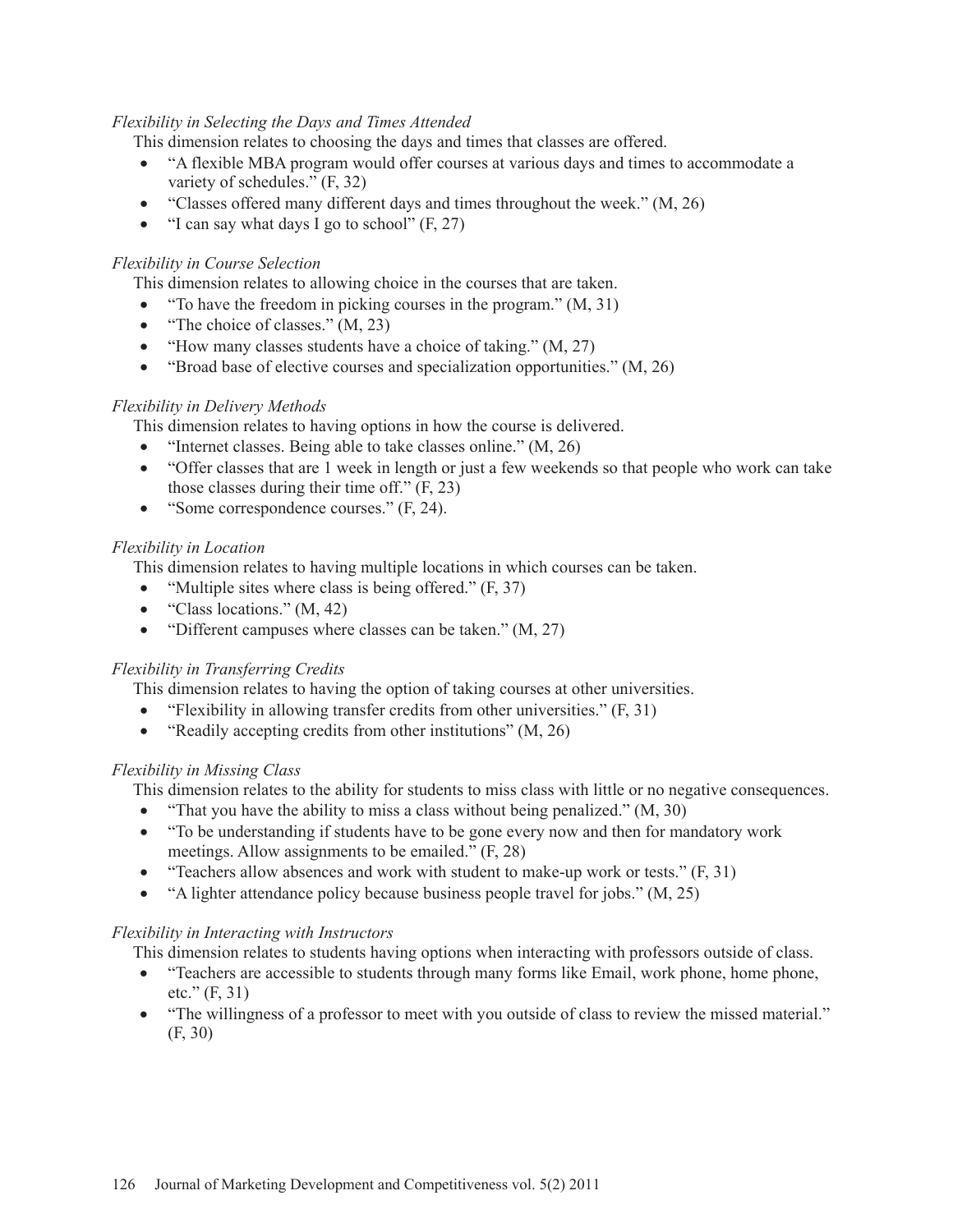# *Flexibility in Selecting the Days and Times Attended*

This dimension relates to choosing the days and times that classes are offered.

- "A flexible MBA program would offer courses at various days and times to accommodate a variety of schedules." (F, 32)
- "Classes offered many different days and times throughout the week."  $(M, 26)$
- "I can say what days I go to school"  $(F, 27)$

# *Flexibility in Course Selection*

This dimension relates to allowing choice in the courses that are taken.

- "To have the freedom in picking courses in the program."  $(M, 31)$
- "The choice of classes."  $(M, 23)$
- "How many classes students have a choice of taking."  $(M, 27)$
- "Broad base of elective courses and specialization opportunities."  $(M, 26)$

# *Flexibility in Delivery Methods*

This dimension relates to having options in how the course is delivered.

- "Internet classes. Being able to take classes online."  $(M, 26)$
- "Offer classes that are 1 week in length or just a few weekends so that people who work can take those classes during their time off." (F, 23)
- "Some correspondence courses."  $(F, 24)$ .

# *Flexibility in Location*

This dimension relates to having multiple locations in which courses can be taken.

- "Multiple sites where class is being offered."  $(F, 37)$
- "Class locations."  $(M, 42)$
- "Different campuses where classes can be taken."  $(M, 27)$

# *Flexibility in Transferring Credits*

This dimension relates to having the option of taking courses at other universities.

- "Flexibility in allowing transfer credits from other universities."  $(F, 31)$
- "Readily accepting credits from other institutions"  $(M, 26)$

# *Flexibility in Missing Class*

This dimension relates to the ability for students to miss class with little or no negative consequences.

- "That you have the ability to miss a class without being penalized."  $(M, 30)$
- "To be understanding if students have to be gone every now and then for mandatory work meetings. Allow assignments to be emailed." (F, 28)
- "Teachers allow absences and work with student to make-up work or tests."  $(F, 31)$
- $\bullet$  "A lighter attendance policy because business people travel for jobs." (M, 25)

# *Flexibility in Interacting with Instructors*

This dimension relates to students having options when interacting with professors outside of class.

- "Teachers are accessible to students through many forms like Email, work phone, home phone, etc." (F, 31)
- "The willingness of a professor to meet with you outside of class to review the missed material." (F, 30)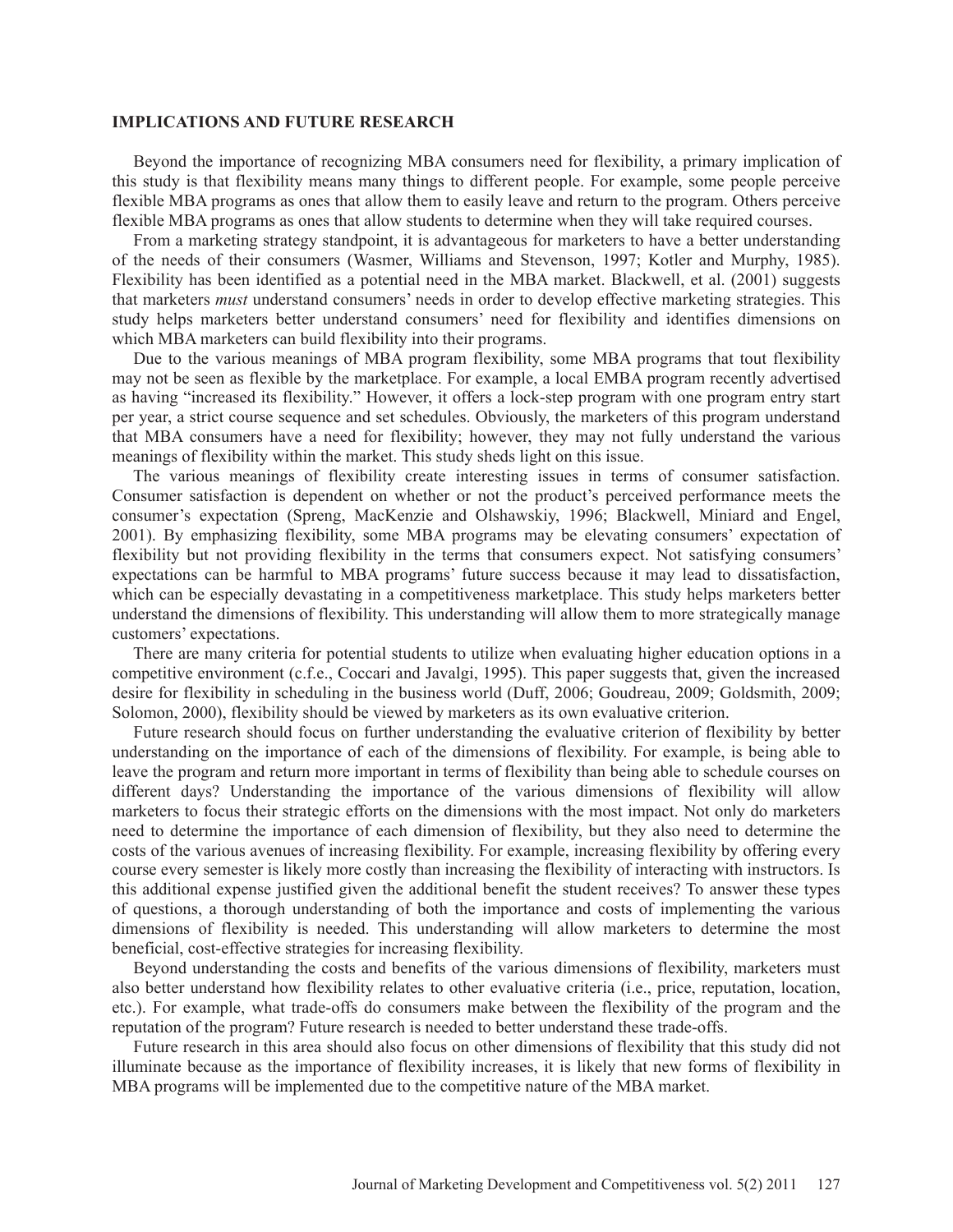#### **IMPLICATIONS AND FUTURE RESEARCH**

 Beyond the importance of recognizing MBA consumers need for flexibility, a primary implication of this study is that flexibility means many things to different people. For example, some people perceive flexible MBA programs as ones that allow them to easily leave and return to the program. Others perceive flexible MBA programs as ones that allow students to determine when they will take required courses.

 From a marketing strategy standpoint, it is advantageous for marketers to have a better understanding of the needs of their consumers (Wasmer, Williams and Stevenson, 1997; Kotler and Murphy, 1985). Flexibility has been identified as a potential need in the MBA market. Blackwell, et al. (2001) suggests that marketers *must* understand consumers' needs in order to develop effective marketing strategies. This study helps marketers better understand consumers' need for flexibility and identifies dimensions on which MBA marketers can build flexibility into their programs.

 Due to the various meanings of MBA program flexibility, some MBA programs that tout flexibility may not be seen as flexible by the marketplace. For example, a local EMBA program recently advertised as having "increased its flexibility." However, it offers a lock-step program with one program entry start per year, a strict course sequence and set schedules. Obviously, the marketers of this program understand that MBA consumers have a need for flexibility; however, they may not fully understand the various meanings of flexibility within the market. This study sheds light on this issue.

 The various meanings of flexibility create interesting issues in terms of consumer satisfaction. Consumer satisfaction is dependent on whether or not the product's perceived performance meets the consumer's expectation (Spreng, MacKenzie and Olshawskiy, 1996; Blackwell, Miniard and Engel, 2001). By emphasizing flexibility, some MBA programs may be elevating consumers' expectation of flexibility but not providing flexibility in the terms that consumers expect. Not satisfying consumers' expectations can be harmful to MBA programs' future success because it may lead to dissatisfaction, which can be especially devastating in a competitiveness marketplace. This study helps marketers better understand the dimensions of flexibility. This understanding will allow them to more strategically manage customers' expectations.

 There are many criteria for potential students to utilize when evaluating higher education options in a competitive environment (c.f.e., Coccari and Javalgi, 1995). This paper suggests that, given the increased desire for flexibility in scheduling in the business world (Duff, 2006; Goudreau, 2009; Goldsmith, 2009; Solomon, 2000), flexibility should be viewed by marketers as its own evaluative criterion.

 Future research should focus on further understanding the evaluative criterion of flexibility by better understanding on the importance of each of the dimensions of flexibility. For example, is being able to leave the program and return more important in terms of flexibility than being able to schedule courses on different days? Understanding the importance of the various dimensions of flexibility will allow marketers to focus their strategic efforts on the dimensions with the most impact. Not only do marketers need to determine the importance of each dimension of flexibility, but they also need to determine the costs of the various avenues of increasing flexibility. For example, increasing flexibility by offering every course every semester is likely more costly than increasing the flexibility of interacting with instructors. Is this additional expense justified given the additional benefit the student receives? To answer these types of questions, a thorough understanding of both the importance and costs of implementing the various dimensions of flexibility is needed. This understanding will allow marketers to determine the most beneficial, cost-effective strategies for increasing flexibility.

 Beyond understanding the costs and benefits of the various dimensions of flexibility, marketers must also better understand how flexibility relates to other evaluative criteria (i.e., price, reputation, location, etc.). For example, what trade-offs do consumers make between the flexibility of the program and the reputation of the program? Future research is needed to better understand these trade-offs.

 Future research in this area should also focus on other dimensions of flexibility that this study did not illuminate because as the importance of flexibility increases, it is likely that new forms of flexibility in MBA programs will be implemented due to the competitive nature of the MBA market.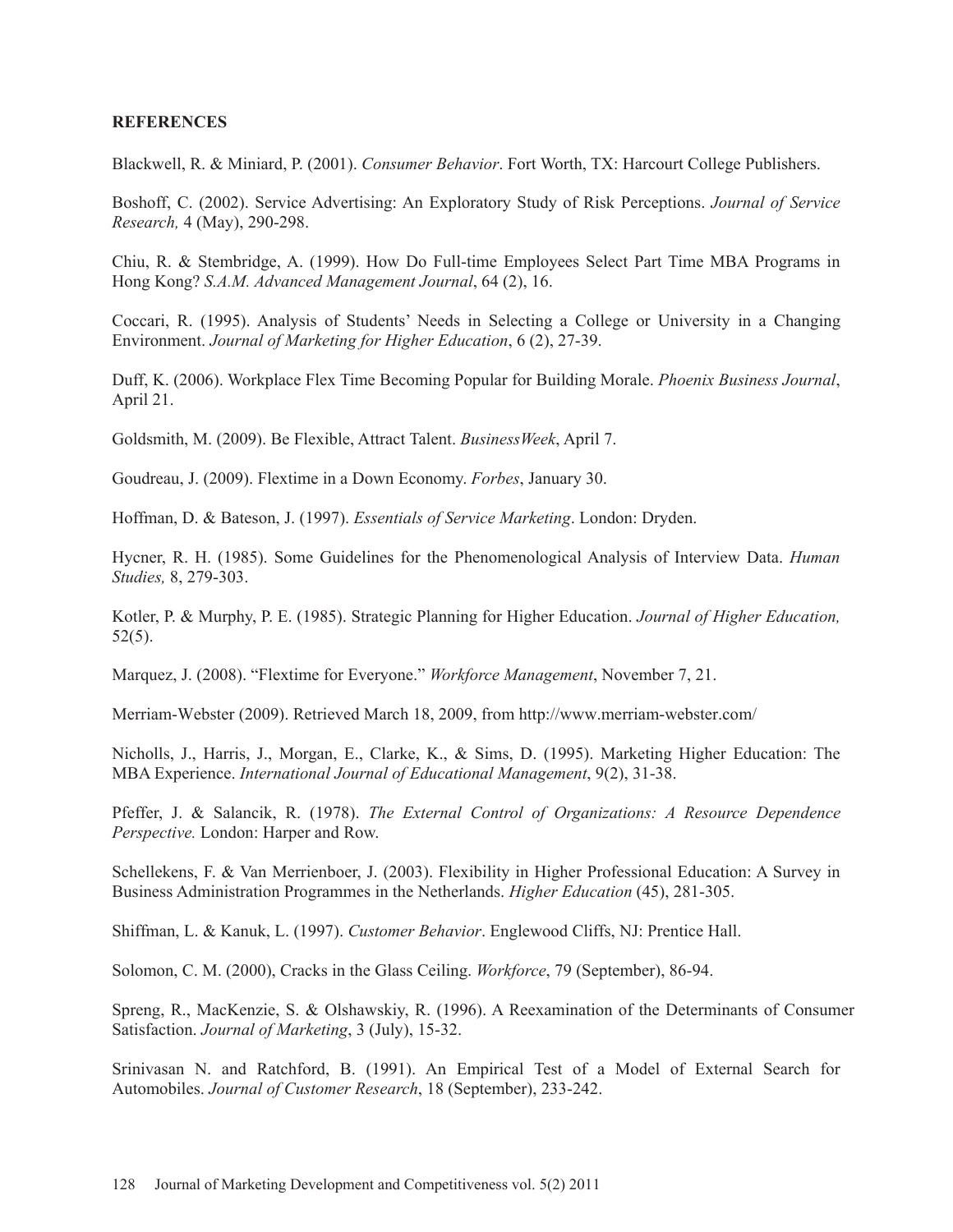# **REFERENCES**

Blackwell, R. & Miniard, P. (2001). *Consumer Behavior*. Fort Worth, TX: Harcourt College Publishers.

Boshoff, C. (2002). Service Advertising: An Exploratory Study of Risk Perceptions. *Journal of Service Research,* 4 (May), 290-298.

Chiu, R. & Stembridge, A. (1999). How Do Full-time Employees Select Part Time MBA Programs in Hong Kong? *S.A.M. Advanced Management Journal*, 64 (2), 16.

Coccari, R. (1995). Analysis of Students' Needs in Selecting a College or University in a Changing Environment. *Journal of Marketing for Higher Education*, 6 (2), 27-39.

Duff, K. (2006). Workplace Flex Time Becoming Popular for Building Morale. *Phoenix Business Journal*, April 21.

Goldsmith, M. (2009). Be Flexible, Attract Talent. *BusinessWeek*, April 7.

Goudreau, J. (2009). Flextime in a Down Economy. *Forbes*, January 30.

Hoffman, D. & Bateson, J. (1997). *Essentials of Service Marketing*. London: Dryden.

Hycner, R. H. (1985). Some Guidelines for the Phenomenological Analysis of Interview Data. *Human Studies,* 8, 279-303.

Kotler, P. & Murphy, P. E. (1985). Strategic Planning for Higher Education. *Journal of Higher Education,* 52(5).

Marquez, J. (2008). "Flextime for Everyone." *Workforce Management*, November 7, 21.

Merriam-Webster (2009). Retrieved March 18, 2009, from http://www.merriam-webster.com/

Nicholls, J., Harris, J., Morgan, E., Clarke, K., & Sims, D. (1995). Marketing Higher Education: The MBA Experience. *International Journal of Educational Management*, 9(2), 31-38.

Pfeffer, J. & Salancik, R. (1978). *The External Control of Organizations: A Resource Dependence Perspective.* London: Harper and Row.

Schellekens, F. & Van Merrienboer, J. (2003). Flexibility in Higher Professional Education: A Survey in Business Administration Programmes in the Netherlands. *Higher Education* (45), 281-305.

Shiffman, L. & Kanuk, L. (1997). *Customer Behavior*. Englewood Cliffs, NJ: Prentice Hall.

Solomon, C. M. (2000), Cracks in the Glass Ceiling. *Workforce*, 79 (September), 86-94.

Spreng, R., MacKenzie, S. & Olshawskiy, R. (1996). A Reexamination of the Determinants of Consumer Satisfaction. *Journal of Marketing*, 3 (July), 15-32.

Srinivasan N. and Ratchford, B. (1991). An Empirical Test of a Model of External Search for Automobiles. *Journal of Customer Research*, 18 (September), 233-242.